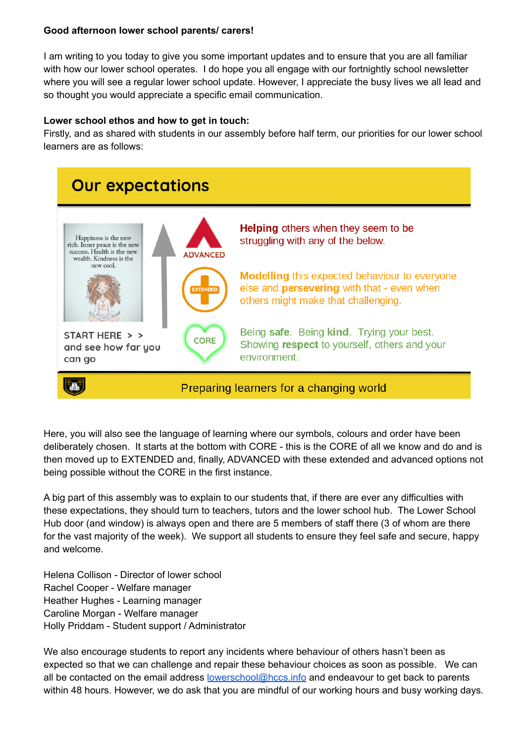## **Good afternoon lower school parents/ carers!**

I am writing to you today to give you some important updates and to ensure that you are all familiar with how our lower school operates. I do hope you all engage with our fortnightly school newsletter where you will see a regular lower school update. However, I appreciate the busy lives we all lead and so thought you would appreciate a specific email communication.

# **Lower school ethos and how to get in touch:**

Firstly, and as shared with students in our assembly before half term, our priorities for our lower school learners are as follows:



Here, you will also see the language of learning where our symbols, colours and order have been deliberately chosen. It starts at the bottom with CORE - this is the CORE of all we know and do and is then moved up to EXTENDED and, finally, ADVANCED with these extended and advanced options not being possible without the CORE in the first instance.

A big part of this assembly was to explain to our students that, if there are ever any difficulties with these expectations, they should turn to teachers, tutors and the lower school hub. The Lower School Hub door (and window) is always open and there are 5 members of staff there (3 of whom are there for the vast majority of the week). We support all students to ensure they feel safe and secure, happy and welcome.

Helena Collison - Director of lower school Rachel Cooper - Welfare manager Heather Hughes - Learning manager Caroline Morgan - Welfare manager Holly Priddam - Student support / Administrator

We also encourage students to report any incidents where behaviour of others hasn't been as expected so that we can challenge and repair these behaviour choices as soon as possible. We can all be contacted on the email address **[lowerschool@hccs.info](mailto:lowerschool@hccs.info)** and endeavour to get back to parents within 48 hours. However, we do ask that you are mindful of our working hours and busy working days.